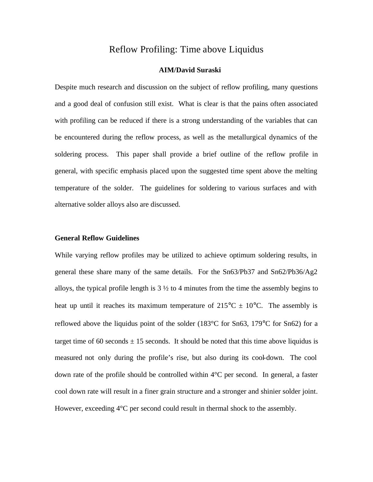# Reflow Profiling: Time above Liquidus

## **AIM/David Suraski**

Despite much research and discussion on the subject of reflow profiling, many questions and a good deal of confusion still exist. What is clear is that the pains often associated with profiling can be reduced if there is a strong understanding of the variables that can be encountered during the reflow process, as well as the metallurgical dynamics of the soldering process. This paper shall provide a brief outline of the reflow profile in general, with specific emphasis placed upon the suggested time spent above the melting temperature of the solder. The guidelines for soldering to various surfaces and with alternative solder alloys also are discussed.

### **General Reflow Guidelines**

While varying reflow profiles may be utilized to achieve optimum soldering results, in general these share many of the same details. For the Sn63/Pb37 and Sn62/Pb36/Ag2 alloys, the typical profile length is  $3\frac{1}{2}$  to 4 minutes from the time the assembly begins to heat up until it reaches its maximum temperature of  $215^{\circ}C \pm 10^{\circ}C$ . The assembly is reflowed above the liquidus point of the solder (183°C for Sn63, 179°C for Sn62) for a target time of 60 seconds  $\pm$  15 seconds. It should be noted that this time above liquidus is measured not only during the profile's rise, but also during its cool-down. The cool down rate of the profile should be controlled within 4°C per second. In general, a faster cool down rate will result in a finer grain structure and a stronger and shinier solder joint. However, exceeding  $4^{\circ}$ C per second could result in thermal shock to the assembly.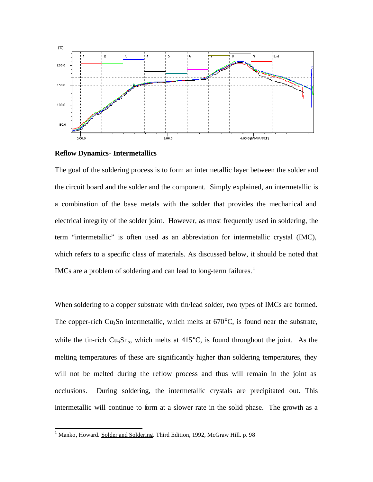



The goal of the soldering process is to form an intermetallic layer between the solder and the circuit board and the solder and the component. Simply explained, an intermetallic is a combination of the base metals with the solder that provides the mechanical and electrical integrity of the solder joint. However, as most frequently used in soldering, the term "intermetallic" is often used as an abbreviation for intermetallic crystal (IMC), which refers to a specific class of materials. As discussed below, it should be noted that IMCs are a problem of soldering and can lead to long-term failures.<sup>1</sup>

When soldering to a copper substrate with tin/lead solder, two types of IMCs are formed. The copper-rich Cu<sub>3</sub>Sn intermetallic, which melts at  $670^{\circ}$ C, is found near the substrate, while the tin-rich  $Cu<sub>6</sub>Sn<sub>5</sub>$ , which melts at 415 $^{\circ}$ C, is found throughout the joint. As the melting temperatures of these are significantly higher than soldering temperatures, they will not be melted during the reflow process and thus will remain in the joint as occlusions. During soldering, the intermetallic crystals are precipitated out. This intermetallic will continue to form at a slower rate in the solid phase. The growth as a

l

<sup>&</sup>lt;sup>1</sup> Manko, Howard. Solder and Soldering. Third Edition, 1992, McGraw Hill. p. 98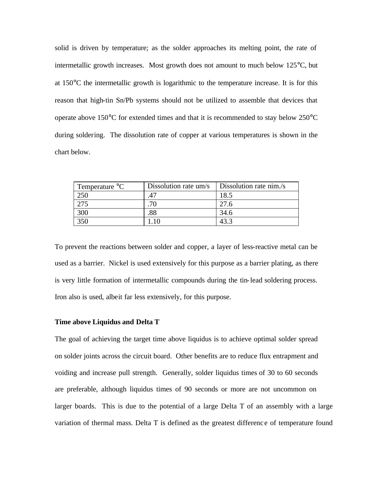solid is driven by temperature; as the solder approaches its melting point, the rate of intermetallic growth increases. Most growth does not amount to much below 125°C, but at 150°C the intermetallic growth is logarithmic to the temperature increase. It is for this reason that high-tin Sn/Pb systems should not be utilized to assemble that devices that operate above  $150^{\circ}$ C for extended times and that it is recommended to stay below  $250^{\circ}$ C during soldering. The dissolution rate of copper at various temperatures is shown in the chart below.

| Temperature $\mathrm{C}$ | Dissolution rate um/s | Dissolution rate nim./s |
|--------------------------|-----------------------|-------------------------|
|                          |                       | 18.5                    |
|                          |                       | 27.6                    |
| 300                      | .88                   | 34.6                    |
| 350                      |                       |                         |

To prevent the reactions between solder and copper, a layer of less-reactive metal can be used as a barrier. Nickel is used extensively for this purpose as a barrier plating, as there is very little formation of intermetallic compounds during the tin-lead soldering process. Iron also is used, albeit far less extensively, for this purpose.

#### **Time above Liquidus and Delta T**

The goal of achieving the target time above liquidus is to achieve optimal solder spread on solder joints across the circuit board. Other benefits are to reduce flux entrapment and voiding and increase pull strength. Generally, solder liquidus times of 30 to 60 seconds are preferable, although liquidus times of 90 seconds or more are not uncommon on larger boards. This is due to the potential of a large Delta T of an assembly with a large variation of thermal mass. Delta T is defined as the greatest difference of temperature found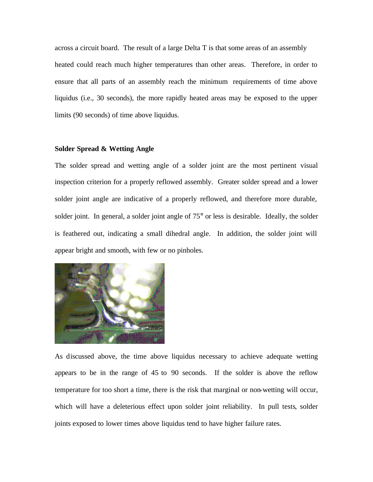across a circuit board. The result of a large Delta T is that some areas of an assembly heated could reach much higher temperatures than other areas. Therefore, in order to ensure that all parts of an assembly reach the minimum requirements of time above liquidus (i.e., 30 seconds), the more rapidly heated areas may be exposed to the upper limits (90 seconds) of time above liquidus.

#### **Solder Spread & Wetting Angle**

The solder spread and wetting angle of a solder joint are the most pertinent visual inspection criterion for a properly reflowed assembly. Greater solder spread and a lower solder joint angle are indicative of a properly reflowed, and therefore more durable, solder joint. In general, a solder joint angle of 75° or less is desirable. Ideally, the solder is feathered out, indicating a small dihedral angle. In addition, the solder joint will appear bright and smooth, with few or no pinholes.



As discussed above, the time above liquidus necessary to achieve adequate wetting appears to be in the range of 45 to 90 seconds. If the solder is above the reflow temperature for too short a time, there is the risk that marginal or non-wetting will occur, which will have a deleterious effect upon solder joint reliability. In pull tests, solder joints exposed to lower times above liquidus tend to have higher failure rates.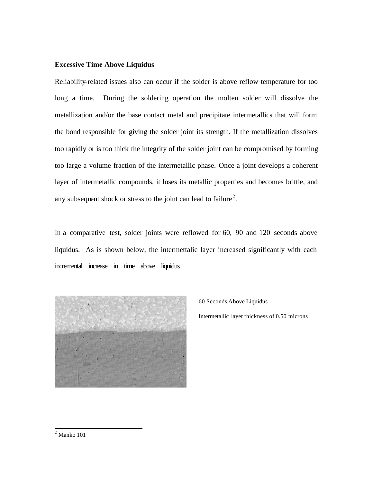## **Excessive Time Above Liquidus**

Reliability-related issues also can occur if the solder is above reflow temperature for too long a time. During the soldering operation the molten solder will dissolve the metallization and/or the base contact metal and precipitate intermetallics that will form the bond responsible for giving the solder joint its strength. If the metallization dissolves too rapidly or is too thick the integrity of the solder joint can be compromised by forming too large a volume fraction of the intermetallic phase. Once a joint develops a coherent layer of intermetallic compounds, it loses its metallic properties and becomes brittle, and any subsequent shock or stress to the joint can lead to failure<sup>2</sup>.

In a comparative test, solder joints were reflowed for 60, 90 and 120 seconds above liquidus. As is shown below, the intermettalic layer increased significantly with each incremental increase in time above liquidus.



60 Seconds Above Liquidus Intermetallic layer thickness of 0.50 microns

 2 Manko 101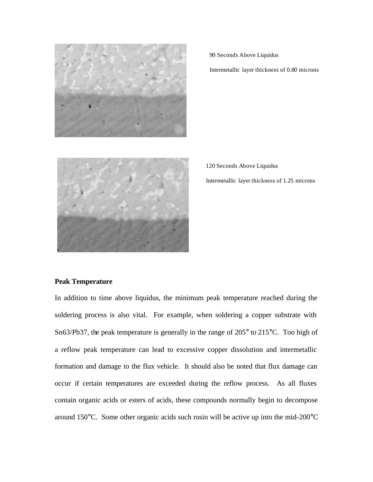

90 Seconds Above Liquidus

Intermetallic layer thickness of 0.80 microns



120 Seconds Above Liquidus Intermetallic layer thickness of 1.25 microns

## **Peak Temperature**

In addition to time above liquidus, the minimum peak temperature reached during the soldering process is also vital. For example, when soldering a copper substrate with Sn63/Pb37, the peak temperature is generally in the range of 205° to 215°C. Too high of a reflow peak temperature can lead to excessive copper dissolution and intermetallic formation and damage to the flux vehicle. It should also be noted that flux damage can occur if certain temperatures are exceeded during the reflow process. As all fluxes contain organic acids or esters of acids, these compounds normally begin to decompose around 150°C. Some other organic acids such rosin will be active up into the mid-200°C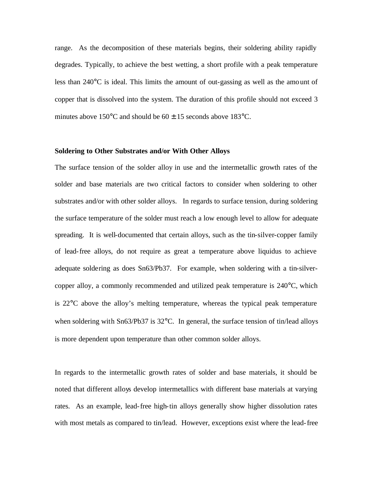range. As the decomposition of these materials begins, their soldering ability rapidly degrades. Typically, to achieve the best wetting, a short profile with a peak temperature less than 240°C is ideal. This limits the amount of out-gassing as well as the amount of copper that is dissolved into the system. The duration of this profile should not exceed 3 minutes above  $150^{\circ}$ C and should be  $60 \pm 15$  seconds above  $183^{\circ}$ C.

#### **Soldering to Other Substrates and/or With Other Alloys**

The surface tension of the solder alloy in use and the intermetallic growth rates of the solder and base materials are two critical factors to consider when soldering to other substrates and/or with other solder alloys. In regards to surface tension, during soldering the surface temperature of the solder must reach a low enough level to allow for adequate spreading. It is well-documented that certain alloys, such as the tin-silver-copper family of lead-free alloys, do not require as great a temperature above liquidus to achieve adequate soldering as does Sn63/Pb37. For example, when soldering with a tin-silvercopper alloy, a commonly recommended and utilized peak temperature is 240°C, which is 22°C above the alloy's melting temperature, whereas the typical peak temperature when soldering with Sn63/Pb37 is 32°C. In general, the surface tension of tin/lead alloys is more dependent upon temperature than other common solder alloys.

In regards to the intermetallic growth rates of solder and base materials, it should be noted that different alloys develop intermetallics with different base materials at varying rates. As an example, lead-free high-tin alloys generally show higher dissolution rates with most metals as compared to tin/lead. However, exceptions exist where the lead-free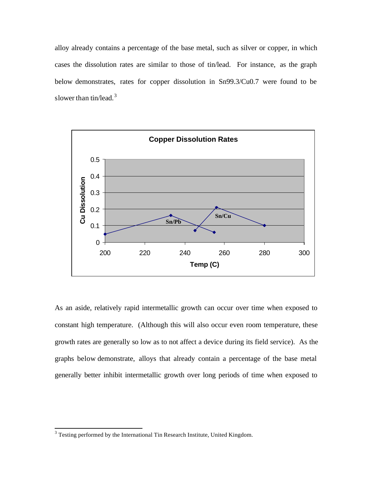alloy already contains a percentage of the base metal, such as silver or copper, in which cases the dissolution rates are similar to those of tin/lead. For instance, as the graph below demonstrates, rates for copper dissolution in Sn99.3/Cu0.7 were found to be slower than tin/lead. $3$ 



As an aside, relatively rapid intermetallic growth can occur over time when exposed to constant high temperature. (Although this will also occur even room temperature, these growth rates are generally so low as to not affect a device during its field service). As the graphs below demonstrate, alloys that already contain a percentage of the base metal generally better inhibit intermetallic growth over long periods of time when exposed to

l

 $3$  Testing performed by the International Tin Research Institute, United Kingdom.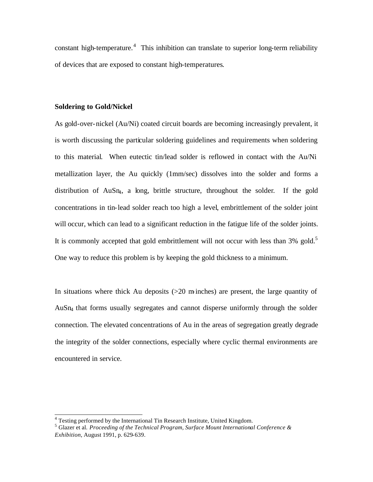constant high-temperature.<sup>4</sup> This inhibition can translate to superior long-term reliability of devices that are exposed to constant high-temperatures.

#### **Soldering to Gold/Nickel**

As gold-over-nickel (Au/Ni) coated circuit boards are becoming increasingly prevalent, it is worth discussing the particular soldering guidelines and requirements when soldering to this material. When eutectic tin/lead solder is reflowed in contact with the Au/Ni metallization layer, the Au quickly (1mm/sec) dissolves into the solder and forms a distribution of AuSn<sub>4</sub>, a long, brittle structure, throughout the solder. If the gold concentrations in tin-lead solder reach too high a level, embrittlement of the solder joint will occur, which can lead to a significant reduction in the fatigue life of the solder joints. It is commonly accepted that gold embrittlement will not occur with less than  $3\%$  gold.<sup>5</sup> One way to reduce this problem is by keeping the gold thickness to a minimum.

In situations where thick Au deposits  $(>=20 \text{ m} \text{ inches})$  are present, the large quantity of AuSn4 that forms usually segregates and cannot disperse uniformly through the solder connection. The elevated concentrations of Au in the areas of segregation greatly degrade the integrity of the solder connections, especially where cyclic thermal environments are encountered in service.

 4 Testing performed by the International Tin Research Institute, United Kingdom.

<sup>5</sup> Glazer et al. *Proceeding of the Technical Program, Surface Mount International Conference & Exhibition*, August 1991, p. 629-639.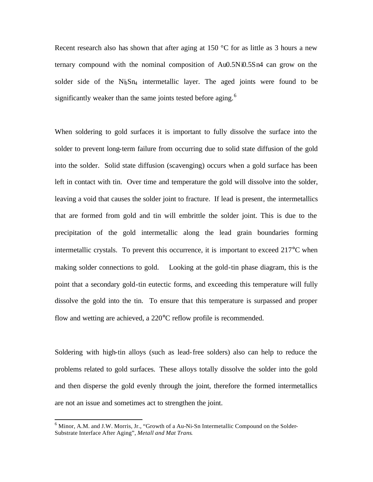Recent research also has shown that after aging at 150  $\degree$ C for as little as 3 hours a new ternary compound with the nominal composition of Au0.5Ni0.5Sn4 can grow on the solder side of the  $N<sub>B</sub>Sn<sub>4</sub>$  intermetallic layer. The aged joints were found to be significantly weaker than the same joints tested before aging.<sup>6</sup>

When soldering to gold surfaces it is important to fully dissolve the surface into the solder to prevent long-term failure from occurring due to solid state diffusion of the gold into the solder. Solid state diffusion (scavenging) occurs when a gold surface has been left in contact with tin. Over time and temperature the gold will dissolve into the solder, leaving a void that causes the solder joint to fracture. If lead is present, the intermetallics that are formed from gold and tin will embrittle the solder joint. This is due to the precipitation of the gold intermetallic along the lead grain boundaries forming intermetallic crystals. To prevent this occurrence, it is important to exceed 217°C when making solder connections to gold. Looking at the gold-tin phase diagram, this is the point that a secondary gold-tin eutectic forms, and exceeding this temperature will fully dissolve the gold into the tin. To ensure that this temperature is surpassed and proper flow and wetting are achieved, a 220°C reflow profile is recommended.

Soldering with high-tin alloys (such as lead-free solders) also can help to reduce the problems related to gold surfaces. These alloys totally dissolve the solder into the gold and then disperse the gold evenly through the joint, therefore the formed intermetallics are not an issue and sometimes act to strengthen the joint.

l

<sup>&</sup>lt;sup>6</sup> Minor, A.M. and J.W. Morris, Jr., "Growth of a Au-Ni-Sn Intermetallic Compound on the Solder-Substrate Interface After Aging", *Metall and Mat Trans.*